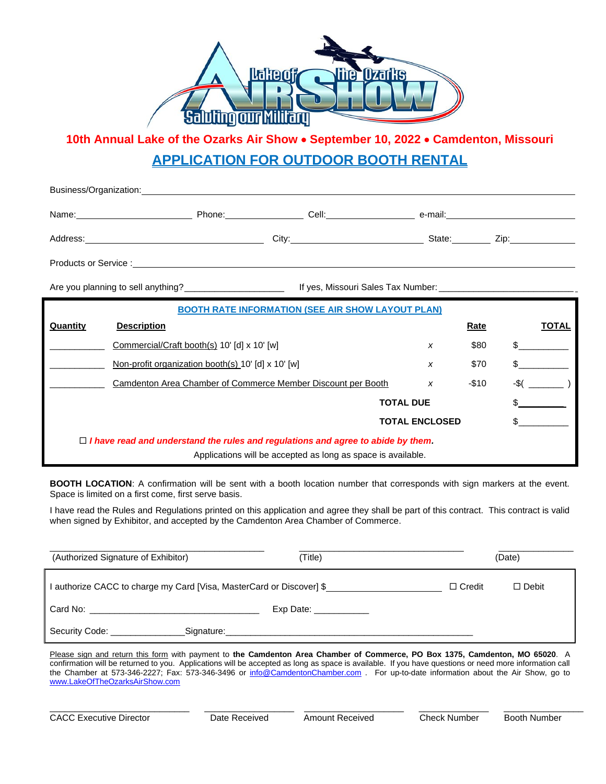

**10th Annual Lake of the Ozarks Air Show** • **September 10, 2022** • **Camdenton, Missouri APPLICATION FOR OUTDOOR BOOTH RENTAL**

| Business/Organization: | <u> 1989 - John Stein, markin sammen sammen som står startet som startet som startet som startet som s</u> |       |         |      |
|------------------------|------------------------------------------------------------------------------------------------------------|-------|---------|------|
| Name:                  | Phone:                                                                                                     | Cell: | e-mail: |      |
| Address:               | City:                                                                                                      |       | State:  | Zip: |
| Products or Service :  |                                                                                                            |       |         |      |

Are you planning to sell anything?\_\_\_\_\_\_\_\_\_\_\_\_\_\_\_\_\_\_\_\_ If yes, Missouri Sales Tax Number: \_\_\_\_\_\_\_\_\_\_\_\_\_\_\_\_\_\_\_\_\_\_\_\_\_\_\_

| <b>BOOTH RATE INFORMATION (SEE AIR SHOW LAYOUT PLAN)</b>                                |                                                              |  |   |             |              |  |  |
|-----------------------------------------------------------------------------------------|--------------------------------------------------------------|--|---|-------------|--------------|--|--|
| Quantity                                                                                | <b>Description</b>                                           |  |   | <b>Rate</b> | <b>TOTAL</b> |  |  |
|                                                                                         | Commercial/Craft booth(s) 10' [d] x 10' [w]                  |  | x | \$80        | \$           |  |  |
|                                                                                         | Non-profit organization booth(s) 10' [d] x 10' [w]           |  | x | \$70        |              |  |  |
|                                                                                         | Camdenton Area Chamber of Commerce Member Discount per Booth |  | x | $-$10$      | -\$(         |  |  |
| <b>TOTAL DUE</b>                                                                        |                                                              |  |   |             |              |  |  |
| <b>TOTAL ENCLOSED</b>                                                                   |                                                              |  |   |             |              |  |  |
| $\Box$ I have read and understand the rules and regulations and agree to abide by them. |                                                              |  |   |             |              |  |  |
| Applications will be accepted as long as space is available.                            |                                                              |  |   |             |              |  |  |

**BOOTH LOCATION**: A confirmation will be sent with a booth location number that corresponds with sign markers at the event. Space is limited on a first come, first serve basis.

I have read the Rules and Regulations printed on this application and agree they shall be part of this contract. This contract is valid when signed by Exhibitor, and accepted by the Camdenton Area Chamber of Commerce.

| (Authorized Signature of Exhibitor)  | Title)                                                               |               | (Date)       |  |  |
|--------------------------------------|----------------------------------------------------------------------|---------------|--------------|--|--|
|                                      | I authorize CACC to charge my Card [Visa, MasterCard or Discover] \$ | $\Box$ Credit | $\Box$ Debit |  |  |
|                                      | Exp Date: ____________                                               |               |              |  |  |
| Security Code: <b>Security</b> Code: | Signature:                                                           |               |              |  |  |

Please sign and return this form with payment to **the Camdenton Area Chamber of Commerce, PO Box 1375, Camdenton, MO 65020**. A confirmation will be returned to you. Applications will be accepted as long as space is available. If you have questions or need more information call the Chamber at 573-346-2227; Fax: 573-346-3496 or [info@CamdentonChamber.com](mailto:info@CamdentonChamber.com) . For up-to-date information about the Air Show, go to [www.LakeOfTheOzarksAirShow.com](http://www.lakeoftheozarksairshow.com/)

\_\_\_\_\_\_\_\_\_\_\_\_\_\_\_\_\_\_\_\_\_\_\_\_\_\_\_\_ \_\_\_\_\_\_\_\_\_\_\_\_\_\_\_\_\_\_ \_\_\_\_\_\_\_\_\_\_\_\_\_\_\_\_\_\_\_\_ \_\_\_\_\_\_\_\_\_\_\_\_\_\_ \_\_\_\_\_\_\_\_\_\_\_\_\_\_\_\_